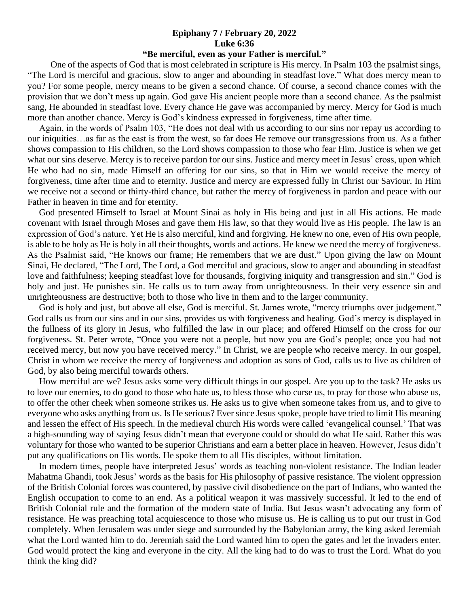## **Epiphany 7 / February 20, 2022 Luke 6:36**

## **"Be merciful, even as your Father is merciful."**

 One of the aspects of God that is most celebrated in scripture is His mercy. In Psalm 103 the psalmist sings, "The Lord is merciful and gracious, slow to anger and abounding in steadfast love." What does mercy mean to you? For some people, mercy means to be given a second chance. Of course, a second chance comes with the provision that we don't mess up again. God gave His ancient people more than a second chance. As the psalmist sang, He abounded in steadfast love. Every chance He gave was accompanied by mercy. Mercy for God is much more than another chance. Mercy is God's kindness expressed in forgiveness, time after time.

 Again, in the words of Psalm 103, "He does not deal with us according to our sins nor repay us according to our iniquities…as far as the east is from the west, so far does He remove our transgressions from us. As a father shows compassion to His children, so the Lord shows compassion to those who fear Him. Justice is when we get what our sins deserve. Mercy is to receive pardon for our sins. Justice and mercy meet in Jesus' cross, upon which He who had no sin, made Himself an offering for our sins, so that in Him we would receive the mercy of forgiveness, time after time and to eternity. Justice and mercy are expressed fully in Christ our Saviour. In Him we receive not a second or thirty-third chance, but rather the mercy of forgiveness in pardon and peace with our Father in heaven in time and for eternity.

 God presented Himself to Israel at Mount Sinai as holy in His being and just in all His actions. He made covenant with Israel through Moses and gave them His law, so that they would live as His people. The law is an expression of God's nature. Yet He is also merciful, kind and forgiving. He knew no one, even of His own people, is able to be holy as He is holy in all their thoughts, words and actions. He knew we need the mercy of forgiveness. As the Psalmist said, "He knows our frame; He remembers that we are dust." Upon giving the law on Mount Sinai, He declared, "The Lord, The Lord, a God merciful and gracious, slow to anger and abounding in steadfast love and faithfulness; keeping steadfast love for thousands, forgiving iniquity and transgression and sin." God is holy and just. He punishes sin. He calls us to turn away from unrighteousness. In their very essence sin and unrighteousness are destructive; both to those who live in them and to the larger community.

God is holy and just, but above all else, God is merciful. St. James wrote, "mercy triumphs over judgement." God calls us from our sins and in our sins, provides us with forgiveness and healing. God's mercy is displayed in the fullness of its glory in Jesus, who fulfilled the law in our place; and offered Himself on the cross for our forgiveness. St. Peter wrote, "Once you were not a people, but now you are God's people; once you had not received mercy, but now you have received mercy." In Christ, we are people who receive mercy. In our gospel, Christ in whom we receive the mercy of forgiveness and adoption as sons of God, calls us to live as children of God, by also being merciful towards others.

 How merciful are we? Jesus asks some very difficult things in our gospel. Are you up to the task? He asks us to love our enemies, to do good to those who hate us, to bless those who curse us, to pray for those who abuse us, to offer the other cheek when someone strikes us. He asks us to give when someone takes from us, and to give to everyone who asks anything from us. Is He serious? Ever since Jesus spoke, people have tried to limit His meaning and lessen the effect of His speech. In the medieval church His words were called 'evangelical counsel.' That was a high-sounding way of saying Jesus didn't mean that everyone could or should do what He said. Rather this was voluntary for those who wanted to be superior Christians and earn a better place in heaven. However, Jesus didn't put any qualifications on His words. He spoke them to all His disciples, without limitation.

 In modern times, people have interpreted Jesus' words as teaching non-violent resistance. The Indian leader Mahatma Ghandi, took Jesus' words as the basis for His philosophy of passive resistance. The violent oppression of the British Colonial forces was countered, by passive civil disobedience on the part of Indians, who wanted the English occupation to come to an end. As a political weapon it was massively successful. It led to the end of British Colonial rule and the formation of the modern state of India. But Jesus wasn't advocating any form of resistance. He was preaching total acquiescence to those who misuse us. He is calling us to put our trust in God completely. When Jerusalem was under siege and surrounded by the Babylonian army, the king asked Jeremiah what the Lord wanted him to do. Jeremiah said the Lord wanted him to open the gates and let the invaders enter. God would protect the king and everyone in the city. All the king had to do was to trust the Lord. What do you think the king did?